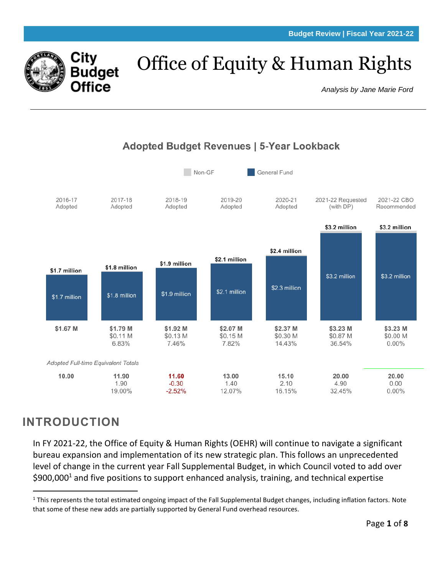

# Office of Equity & Human Rights

*Analysis by Jane Marie Ford*



## **INTRODUCTION**

In FY 2021-22, the Office of Equity & Human Rights (OEHR) will continue to navigate a significant bureau expansion and implementation of its new strategic plan. This follows an unprecedented level of change in the current year Fall Supplemental Budget, in which Council voted to add over  $$900,000<sup>1</sup>$  and five positions to support enhanced analysis, training, and technical expertise

 $1$  This represents the total estimated ongoing impact of the Fall Supplemental Budget changes, including inflation factors. Note that some of these new adds are partially supported by General Fund overhead resources.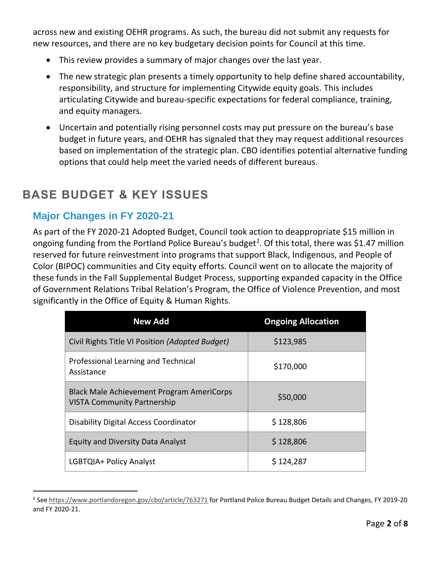across new and existing OEHR programs. As such, the bureau did not submit any requests for new resources, and there are no key budgetary decision points for Council at this time.

- This review provides a summary of major changes over the last year.
- The new strategic plan presents a timely opportunity to help define shared accountability, responsibility, and structure for implementing Citywide equity goals. This includes articulating Citywide and bureau-specific expectations for federal compliance, training, and equity managers.
- Uncertain and potentially rising personnel costs may put pressure on the bureau's base budget in future years, and OEHR has signaled that they may request additional resources based on implementation of the strategic plan. CBO identifies potential alternative funding options that could help meet the varied needs of different bureaus.

### **BASE BUDGET & KEY ISSUES**

#### **Major Changes in FY 2020-21**

As part of the FY 2020-21 Adopted Budget, Council took action to deappropriate \$15 million in ongoing funding from the Portland Police Bureau's budget<sup>2</sup>. Of this total, there was \$1.47 million reserved for future reinvestment into programs that support Black, Indigenous, and People of Color (BIPOC) communities and City equity efforts. Council went on to allocate the majority of these funds in the Fall Supplemental Budget Process, supporting expanded capacity in the Office of Government Relations Tribal Relation's Program, the Office of Violence Prevention, and most significantly in the Office of Equity & Human Rights.

| <b>New Add</b>                                                                         | <b>Ongoing Allocation</b> |  |  |
|----------------------------------------------------------------------------------------|---------------------------|--|--|
| Civil Rights Title VI Position (Adopted Budget)                                        | \$123,985                 |  |  |
| Professional Learning and Technical<br>Assistance                                      | \$170,000                 |  |  |
| <b>Black Male Achievement Program AmeriCorps</b><br><b>VISTA Community Partnership</b> | \$50,000                  |  |  |
| Disability Digital Access Coordinator                                                  | \$128,806                 |  |  |
| <b>Equity and Diversity Data Analyst</b>                                               | \$128,806                 |  |  |
| LGBTQIA+ Policy Analyst                                                                | \$124,287                 |  |  |

<sup>&</sup>lt;sup>2</sup> See<https://www.portlandoregon.gov/cbo/article/763271> for Portland Police Bureau Budget Details and Changes, FY 2019-20 and FY 2020-21.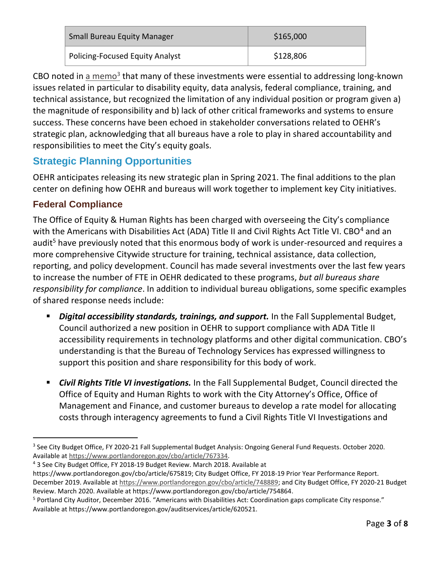| <b>Small Bureau Equity Manager</b>     | \$165,000 |  |  |
|----------------------------------------|-----------|--|--|
| <b>Policing-Focused Equity Analyst</b> | \$128,806 |  |  |

CBO noted in  $\frac{a \text{ memo}^3}{b}$  that many of these investments were essential to addressing long-known issues related in particular to disability equity, data analysis, federal compliance, training, and technical assistance, but recognized the limitation of any individual position or program given a) the magnitude of responsibility and b) lack of other critical frameworks and systems to ensure success. These concerns have been echoed in stakeholder conversations related to OEHR's strategic plan, acknowledging that all bureaus have a role to play in shared accountability and responsibilities to meet the City's equity goals.

#### **Strategic Planning Opportunities**

OEHR anticipates releasing its new strategic plan in Spring 2021. The final additions to the plan center on defining how OEHR and bureaus will work together to implement key City initiatives.

#### **Federal Compliance**

The Office of Equity & Human Rights has been charged with overseeing the City's compliance with the Americans with Disabilities Act (ADA) Title II and Civil Rights Act Title VI. CBO<sup>4</sup> and an audit<sup>5</sup> have previously noted that this enormous body of work is under-resourced and requires a more comprehensive Citywide structure for training, technical assistance, data collection, reporting, and policy development. Council has made several investments over the last few years to increase the number of FTE in OEHR dedicated to these programs, *but all bureaus share responsibility for compliance*. In addition to individual bureau obligations, some specific examples of shared response needs include:

- *Digital accessibility standards, trainings, and support.* In the Fall Supplemental Budget, Council authorized a new position in OEHR to support compliance with ADA Title II accessibility requirements in technology platforms and other digital communication. CBO's understanding is that the Bureau of Technology Services has expressed willingness to support this position and share responsibility for this body of work.
- **Civil Rights Title VI investigations.** In the Fall Supplemental Budget, Council directed the Office of Equity and Human Rights to work with the City Attorney's Office, Office of Management and Finance, and customer bureaus to develop a rate model for allocating costs through interagency agreements to fund a Civil Rights Title VI Investigations and

<sup>4</sup> 3 See City Budget Office, FY 2018-19 Budget Review. March 2018. Available at

https://www.portlandoregon.gov/cbo/article/675819; City Budget Office, FY 2018‐19 Prior Year Performance Report. December 2019. Available at [https://www.portlandoregon.gov/cbo/article/748889;](https://www.portlandoregon.gov/cbo/article/748889) and City Budget Office, FY 2020-21 Budget Review. March 2020. Available at https://www.portlandoregon.gov/cbo/article/754864.

<sup>5</sup> Portland City Auditor, December 2016. "Americans with Disabilities Act: Coordination gaps complicate City response." Available at https://www.portlandoregon.gov/auditservices/article/620521.

<sup>&</sup>lt;sup>3</sup> See City Budget Office, FY 2020-21 Fall Supplemental Budget Analysis: Ongoing General Fund Requests. October 2020. Available at [https://www.portlandoregon.gov/cbo/article/767334.](https://www.portlandoregon.gov/cbo/article/767334)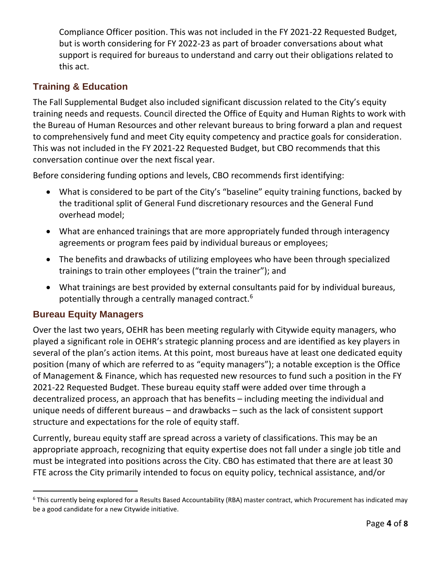Compliance Officer position. This was not included in the FY 2021-22 Requested Budget, but is worth considering for FY 2022-23 as part of broader conversations about what support is required for bureaus to understand and carry out their obligations related to this act.

#### **Training & Education**

The Fall Supplemental Budget also included significant discussion related to the City's equity training needs and requests. Council directed the Office of Equity and Human Rights to work with the Bureau of Human Resources and other relevant bureaus to bring forward a plan and request to comprehensively fund and meet City equity competency and practice goals for consideration. This was not included in the FY 2021-22 Requested Budget, but CBO recommends that this conversation continue over the next fiscal year.

Before considering funding options and levels, CBO recommends first identifying:

- What is considered to be part of the City's "baseline" equity training functions, backed by the traditional split of General Fund discretionary resources and the General Fund overhead model;
- What are enhanced trainings that are more appropriately funded through interagency agreements or program fees paid by individual bureaus or employees;
- The benefits and drawbacks of utilizing employees who have been through specialized trainings to train other employees ("train the trainer"); and
- What trainings are best provided by external consultants paid for by individual bureaus, potentially through a centrally managed contract.<sup>6</sup>

#### **Bureau Equity Managers**

Over the last two years, OEHR has been meeting regularly with Citywide equity managers, who played a significant role in OEHR's strategic planning process and are identified as key players in several of the plan's action items. At this point, most bureaus have at least one dedicated equity position (many of which are referred to as "equity managers"); a notable exception is the Office of Management & Finance, which has requested new resources to fund such a position in the FY 2021-22 Requested Budget. These bureau equity staff were added over time through a decentralized process, an approach that has benefits – including meeting the individual and unique needs of different bureaus – and drawbacks – such as the lack of consistent support structure and expectations for the role of equity staff.

Currently, bureau equity staff are spread across a variety of classifications. This may be an appropriate approach, recognizing that equity expertise does not fall under a single job title and must be integrated into positions across the City. CBO has estimated that there are at least 30 FTE across the City primarily intended to focus on equity policy, technical assistance, and/or

 $6$  This currently being explored for a Results Based Accountability (RBA) master contract, which Procurement has indicated may be a good candidate for a new Citywide initiative.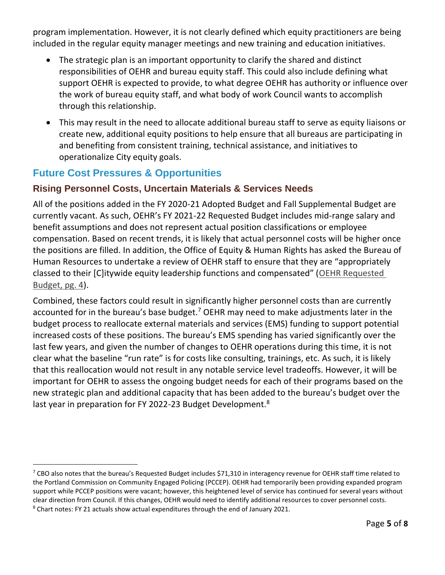program implementation. However, it is not clearly defined which equity practitioners are being included in the regular equity manager meetings and new training and education initiatives.

- The strategic plan is an important opportunity to clarify the shared and distinct responsibilities of OEHR and bureau equity staff. This could also include defining what support OEHR is expected to provide, to what degree OEHR has authority or influence over the work of bureau equity staff, and what body of work Council wants to accomplish through this relationship.
- This may result in the need to allocate additional bureau staff to serve as equity liaisons or create new, additional equity positions to help ensure that all bureaus are participating in and benefiting from consistent training, technical assistance, and initiatives to operationalize City equity goals.

#### **Future Cost Pressures & Opportunities**

#### **Rising Personnel Costs, Uncertain Materials & Services Needs**

All of the positions added in the FY 2020-21 Adopted Budget and Fall Supplemental Budget are currently vacant. As such, OEHR's FY 2021-22 Requested Budget includes mid-range salary and benefit assumptions and does not represent actual position classifications or employee compensation. Based on recent trends, it is likely that actual personnel costs will be higher once the positions are filled. In addition, the Office of Equity & Human Rights has asked the Bureau of Human Resources to undertake a review of OEHR staff to ensure that they are "appropriately classed to their [C]itywide equity leadership functions and compensated" ([OEHR Requested](https://www.portlandoregon.gov/cbo/article/780708)  [Budget, pg. 4\)](https://www.portlandoregon.gov/cbo/article/780708).

Combined, these factors could result in significantly higher personnel costs than are currently accounted for in the bureau's base budget.<sup>7</sup> OEHR may need to make adjustments later in the budget process to reallocate external materials and services (EMS) funding to support potential increased costs of these positions. The bureau's EMS spending has varied significantly over the last few years, and given the number of changes to OEHR operations during this time, it is not clear what the baseline "run rate" is for costs like consulting, trainings, etc. As such, it is likely that this reallocation would not result in any notable service level tradeoffs. However, it will be important for OEHR to assess the ongoing budget needs for each of their programs based on the new strategic plan and additional capacity that has been added to the bureau's budget over the last year in preparation for FY 2022-23 Budget Development.<sup>8</sup>

<sup>&</sup>lt;sup>7</sup> CBO also notes that the bureau's Requested Budget includes \$71,310 in interagency revenue for OEHR staff time related to the Portland Commission on Community Engaged Policing (PCCEP). OEHR had temporarily been providing expanded program support while PCCEP positions were vacant; however, this heightened level of service has continued for several years without clear direction from Council. If this changes, OEHR would need to identify additional resources to cover personnel costs. <sup>8</sup> Chart notes: FY 21 actuals show actual expenditures through the end of January 2021.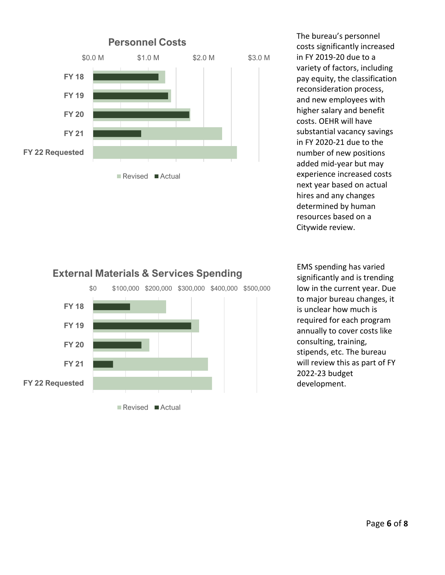

The bureau's personnel costs significantly increased in FY 2019-20 due to a variety of factors, including pay equity, the classification reconsideration process, and new employees with higher salary and benefit costs. OEHR will have substantial vacancy savings in FY 2020-21 due to the number of new positions added mid-year but may experience increased costs next year based on actual hires and any changes determined by human resources based on a Citywide review.

## \$0 \$100,000 \$200,000 \$300,000 \$400,000 \$500,000  **FY 21 FY 20 FY 19 FY 18**

Revised **Actual** 

 **FY 22 Requested**

EMS spending has varied significantly and is trending low in the current year. Due to major bureau changes, it is unclear how much is required for each program annually to cover costs like consulting, training, stipends, etc. The bureau will review this as part of FY 2022-23 budget development.

## **External Materials & Services Spending**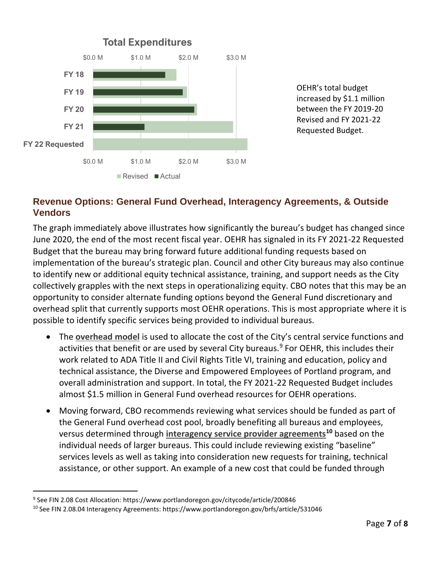

OEHR's total budget increased by \$1.1 million between the FY 2019-20 Revised and FY 2021-22 Requested Budget.

#### **Revenue Options: General Fund Overhead, Interagency Agreements, & Outside Vendors**

The graph immediately above illustrates how significantly the bureau's budget has changed since June 2020, the end of the most recent fiscal year. OEHR has signaled in its FY 2021-22 Requested Budget that the bureau may bring forward future additional funding requests based on implementation of the bureau's strategic plan. Council and other City bureaus may also continue to identify new or additional equity technical assistance, training, and support needs as the City collectively grapples with the next steps in operationalizing equity. CBO notes that this may be an opportunity to consider alternate funding options beyond the General Fund discretionary and overhead split that currently supports most OEHR operations. This is most appropriate where it is possible to identify specific services being provided to individual bureaus.

- The **[overhead model](https://www.portlandoregon.gov/citycode/article/200846)** is used to allocate the cost of the City's central service functions and activities that benefit or are used by several City bureaus.<sup>9</sup> For OEHR, this includes their work related to ADA Title II and Civil Rights Title VI, training and education, policy and technical assistance, the Diverse and Empowered Employees of Portland program, and overall administration and support. In total, the FY 2021-22 Requested Budget includes almost \$1.5 million in General Fund overhead resources for OEHR operations.
- Moving forward, CBO recommends reviewing what services should be funded as part of the General Fund overhead cost pool, broadly benefiting all bureaus and employees, versus determined through **[interagency service provider agreements](https://www.portlandoregon.gov/brfs/article/531046)<sup>10</sup>** based on the individual needs of larger bureaus. This could include reviewing existing "baseline" services levels as well as taking into consideration new requests for training, technical assistance, or other support. An example of a new cost that could be funded through

<sup>9</sup> See FIN 2.08 Cost Allocation: https://www.portlandoregon.gov/citycode/article/200846

<sup>10</sup> See FIN 2.08.04 Interagency Agreements: https://www.portlandoregon.gov/brfs/article/531046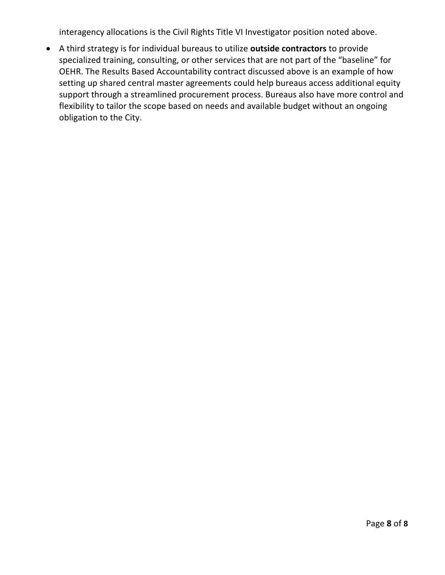interagency allocations is the Civil Rights Title VI Investigator position noted above.

• A third strategy is for individual bureaus to utilize **outside contractors** to provide specialized training, consulting, or other services that are not part of the "baseline" for OEHR. The Results Based Accountability contract discussed above is an example of how setting up shared central master agreements could help bureaus access additional equity support through a streamlined procurement process. Bureaus also have more control and flexibility to tailor the scope based on needs and available budget without an ongoing obligation to the City.